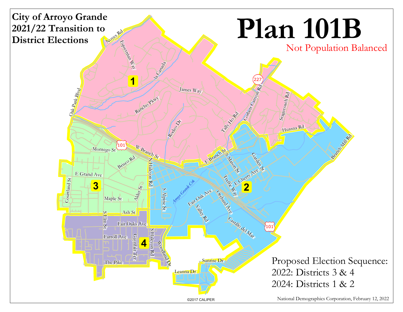